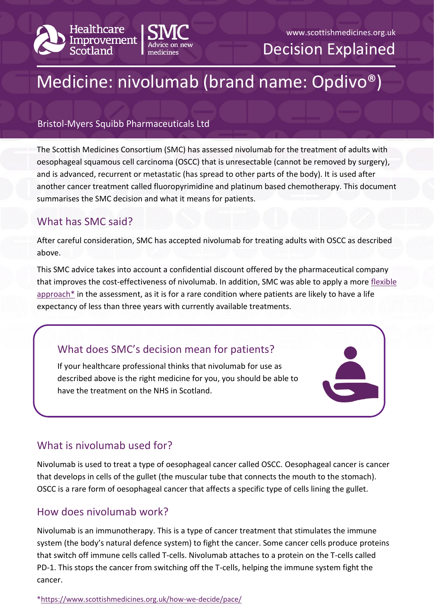



### www.scottishmedicines.org.uk

Decision Explained

# Medicine: nivolumab (brand name: Opdivo®)

## Bristol-Myers Squibb Pharmaceuticals Ltd

The Scottish Medicines Consortium (SMC) has assessed nivolumab for the treatment of adults with oesophageal squamous cell carcinoma (OSCC) that is unresectable (cannot be removed by surgery), and is advanced, recurrent or metastatic (has spread to other parts of the body). It is used after another cancer treatment called fluoropyrimidine and platinum based chemotherapy. This document summarises the SMC decision and what it means for patients.

# What has SMC said?

After careful consideration, SMC has accepted nivolumab for treating adults with OSCC as described above.

This SMC advice takes into account a confidential discount offered by the pharmaceutical company that improves the cost-effectiveness of nivolumab. In addition, SMC was able to apply a more [flexible](https://www.scottishmedicines.org.uk/how-we-decide/pace/)   $approach*$  in the assessment, as it is for a rare condition where patients are likely to have a life expectancy of less than three years with currently available treatments.

# What does SMC's decision mean for patients?

If your healthcare professional thinks that nivolumab for use as described above is the right medicine for you, you should be able to have the treatment on the NHS in Scotland.

## What is nivolumab used for?

Nivolumab is used to treat a type of oesophageal cancer called OSCC. Oesophageal cancer is cancer that develops in cells of the gullet (the muscular tube that connects the mouth to the stomach). OSCC is a rare form of oesophageal cancer that affects a specific type of cells lining the gullet.

## How does nivolumab work?

Nivolumab is an immunotherapy. This is a type of cancer treatment that stimulates the immune system (the body's natural defence system) to fight the cancer. Some cancer cells produce proteins that switch off immune cells called T-cells. Nivolumab attaches to a protein on the T-cells called PD-1. This stops the cancer from switching off the T-cells, helping the immune system fight the cancer.

[\\*https://www.scottishmedicines.org.uk/how-we-decide/pace/](https://www.scottishmedicines.org.uk/how-we-decide/pace/)